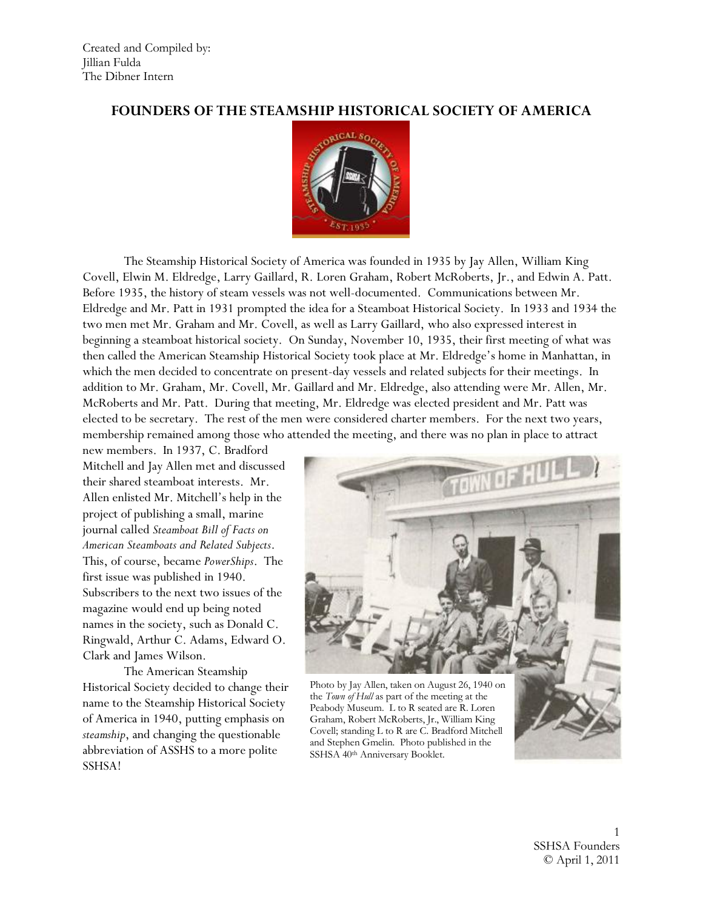#### **FOUNDERS OF THE STEAMSHIP HISTORICAL SOCIETY OF AMERICA**



The Steamship Historical Society of America was founded in 1935 by Jay Allen, William King Covell, Elwin M. Eldredge, Larry Gaillard, R. Loren Graham, Robert McRoberts, Jr., and Edwin A. Patt. Before 1935, the history of steam vessels was not well-documented. Communications between Mr. Eldredge and Mr. Patt in 1931 prompted the idea for a Steamboat Historical Society. In 1933 and 1934 the two men met Mr. Graham and Mr. Covell, as well as Larry Gaillard, who also expressed interest in beginning a steamboat historical society. On Sunday, November 10, 1935, their first meeting of what was then called the American Steamship Historical Society took place at Mr. Eldredge's home in Manhattan, in which the men decided to concentrate on present-day vessels and related subjects for their meetings. In addition to Mr. Graham, Mr. Covell, Mr. Gaillard and Mr. Eldredge, also attending were Mr. Allen, Mr. McRoberts and Mr. Patt. During that meeting, Mr. Eldredge was elected president and Mr. Patt was elected to be secretary. The rest of the men were considered charter members. For the next two years, membership remained among those who attended the meeting, and there was no plan in place to attract

new members. In 1937, C. Bradford Mitchell and Jay Allen met and discussed their shared steamboat interests. Mr. Allen enlisted Mr. Mitchell's help in the project of publishing a small, marine journal called *Steamboat Bill of Facts on American Steamboats and Related Subjects*. This, of course, became *PowerShips*. The first issue was published in 1940. Subscribers to the next two issues of the magazine would end up being noted names in the society, such as Donald C. Ringwald, Arthur C. Adams, Edward O. Clark and James Wilson.

The American Steamship Historical Society decided to change their name to the Steamship Historical Society of America in 1940, putting emphasis on *steamship*, and changing the questionable abbreviation of ASSHS to a more polite SSHSA!



Photo by Jay Allen, taken on August 26, 1940 on the *Town of Hull* as part of the meeting at the Peabody Museum. L to R seated are R. Loren Graham, Robert McRoberts, Jr., William King Covell; standing L to R are C. Bradford Mitchell and Stephen Gmelin. Photo published in the SSHSA 40th Anniversary Booklet.

1 SSHSA Founders © April 1, 2011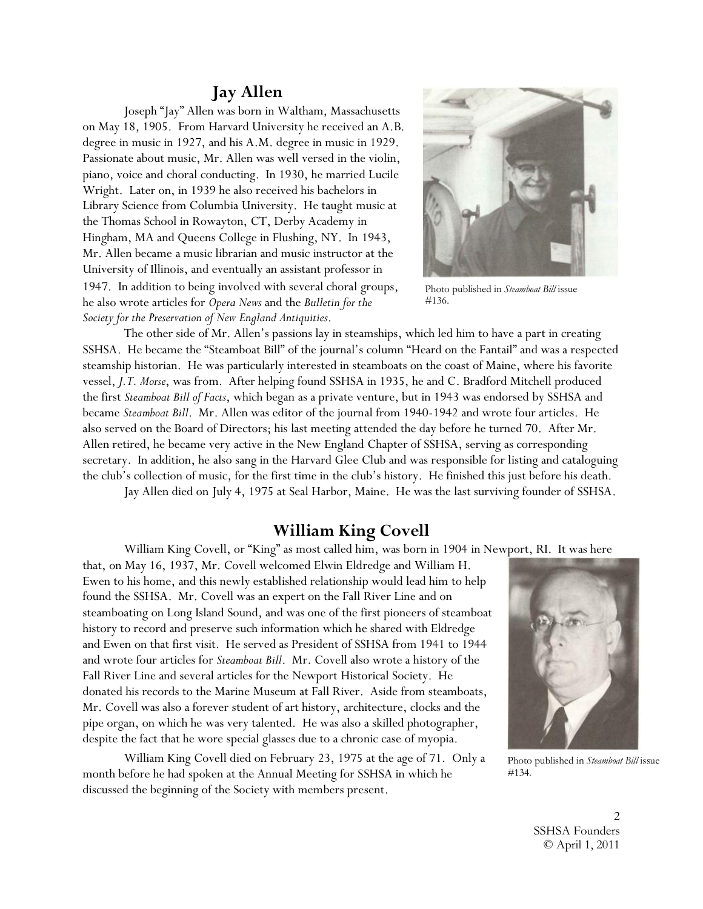### **Jay Allen**

Joseph "Jay" Allen was born in Waltham, Massachusetts on May 18, 1905. From Harvard University he received an A.B. degree in music in 1927, and his A.M. degree in music in 1929. Passionate about music, Mr. Allen was well versed in the violin, piano, voice and choral conducting. In 1930, he married Lucile Wright. Later on, in 1939 he also received his bachelors in Library Science from Columbia University. He taught music at the Thomas School in Rowayton, CT, Derby Academy in Hingham, MA and Queens College in Flushing, NY. In 1943, Mr. Allen became a music librarian and music instructor at the University of Illinois, and eventually an assistant professor in 1947. In addition to being involved with several choral groups, he also wrote articles for *Opera News* and the *Bulletin for the Society for the Preservation of New England Antiquities*.



Photo published in *Steamboat Bill* issue #136.

The other side of Mr. Allen's passions lay in steamships, which led him to have a part in creating SSHSA. He became the "Steamboat Bill" of the journal's column "Heard on the Fantail" and was a respected steamship historian. He was particularly interested in steamboats on the coast of Maine, where his favorite vessel, *J.T. Morse*, was from. After helping found SSHSA in 1935, he and C. Bradford Mitchell produced the first *Steamboat Bill of Facts*, which began as a private venture, but in 1943 was endorsed by SSHSA and became *Steamboat Bill*. Mr. Allen was editor of the journal from 1940-1942 and wrote four articles. He also served on the Board of Directors; his last meeting attended the day before he turned 70. After Mr. Allen retired, he became very active in the New England Chapter of SSHSA, serving as corresponding secretary. In addition, he also sang in the Harvard Glee Club and was responsible for listing and cataloguing the club's collection of music, for the first time in the club's history. He finished this just before his death. Jay Allen died on July 4, 1975 at Seal Harbor, Maine. He was the last surviving founder of SSHSA.

## **William King Covell**

William King Covell, or "King" as most called him, was born in 1904 in Newport, RI. It was here

that, on May 16, 1937, Mr. Covell welcomed Elwin Eldredge and William H. Ewen to his home, and this newly established relationship would lead him to help found the SSHSA. Mr. Covell was an expert on the Fall River Line and on steamboating on Long Island Sound, and was one of the first pioneers of steamboat history to record and preserve such information which he shared with Eldredge and Ewen on that first visit. He served as President of SSHSA from 1941 to 1944 and wrote four articles for *Steamboat Bill*. Mr. Covell also wrote a history of the Fall River Line and several articles for the Newport Historical Society. He donated his records to the Marine Museum at Fall River. Aside from steamboats, Mr. Covell was also a forever student of art history, architecture, clocks and the pipe organ, on which he was very talented. He was also a skilled photographer, despite the fact that he wore special glasses due to a chronic case of myopia.

William King Covell died on February 23, 1975 at the age of 71. Only a month before he had spoken at the Annual Meeting for SSHSA in which he discussed the beginning of the Society with members present.



Photo published in *Steamboat Bill* issue #134.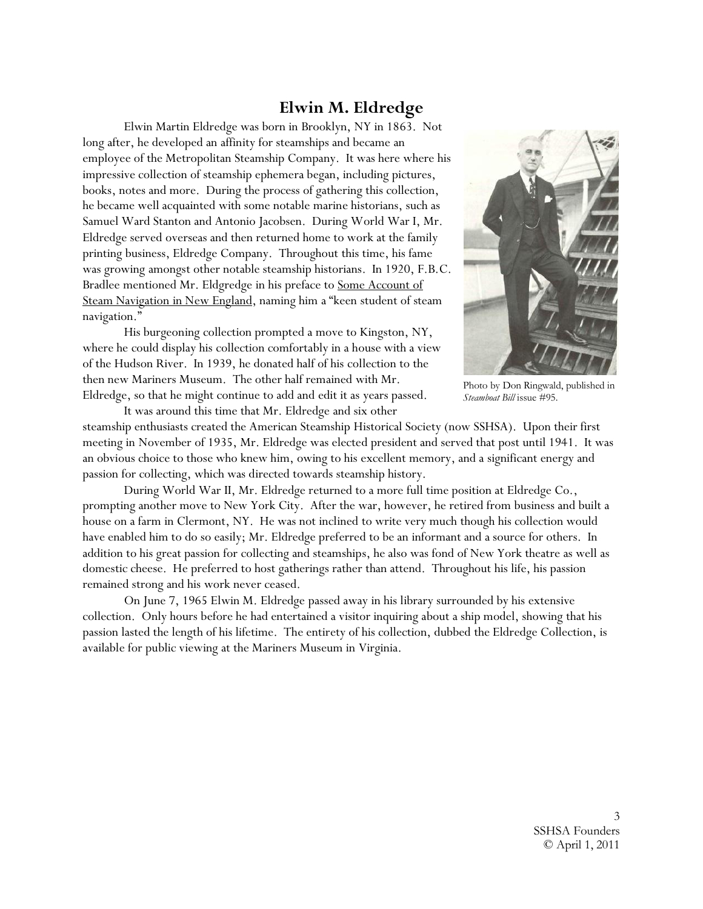## **Elwin M. Eldredge**

Elwin Martin Eldredge was born in Brooklyn, NY in 1863. Not long after, he developed an affinity for steamships and became an employee of the Metropolitan Steamship Company. It was here where his impressive collection of steamship ephemera began, including pictures, books, notes and more. During the process of gathering this collection, he became well acquainted with some notable marine historians, such as Samuel Ward Stanton and Antonio Jacobsen. During World War I, Mr. Eldredge served overseas and then returned home to work at the family printing business, Eldredge Company. Throughout this time, his fame was growing amongst other notable steamship historians. In 1920, F.B.C. Bradlee mentioned Mr. Eldgredge in his preface to Some Account of Steam Navigation in New England, naming him a "keen student of steam navigation."

His burgeoning collection prompted a move to Kingston, NY, where he could display his collection comfortably in a house with a view of the Hudson River. In 1939, he donated half of his collection to the then new Mariners Museum. The other half remained with Mr. Eldredge, so that he might continue to add and edit it as years passed.

It was around this time that Mr. Eldredge and six other



Photo by Don Ringwald, published in *Steamboat Bill* issue #95.

steamship enthusiasts created the American Steamship Historical Society (now SSHSA). Upon their first meeting in November of 1935, Mr. Eldredge was elected president and served that post until 1941. It was an obvious choice to those who knew him, owing to his excellent memory, and a significant energy and passion for collecting, which was directed towards steamship history.

During World War II, Mr. Eldredge returned to a more full time position at Eldredge Co., prompting another move to New York City. After the war, however, he retired from business and built a house on a farm in Clermont, NY. He was not inclined to write very much though his collection would have enabled him to do so easily; Mr. Eldredge preferred to be an informant and a source for others. In addition to his great passion for collecting and steamships, he also was fond of New York theatre as well as domestic cheese. He preferred to host gatherings rather than attend. Throughout his life, his passion remained strong and his work never ceased.

On June 7, 1965 Elwin M. Eldredge passed away in his library surrounded by his extensive collection. Only hours before he had entertained a visitor inquiring about a ship model, showing that his passion lasted the length of his lifetime. The entirety of his collection, dubbed the Eldredge Collection, is available for public viewing at the Mariners Museum in Virginia.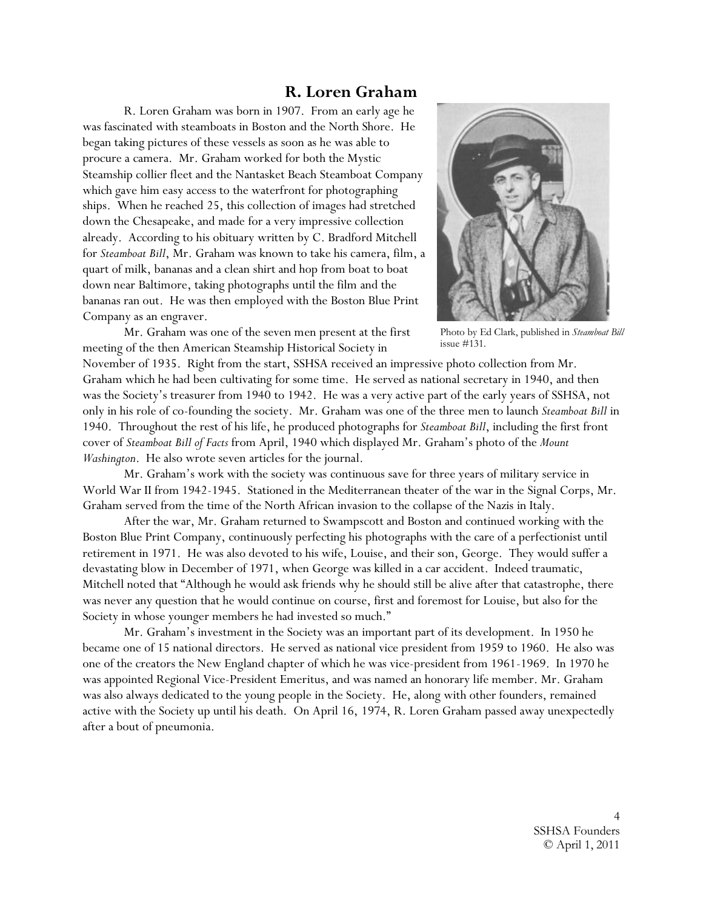### **R. Loren Graham**

R. Loren Graham was born in 1907. From an early age he was fascinated with steamboats in Boston and the North Shore. He began taking pictures of these vessels as soon as he was able to procure a camera. Mr. Graham worked for both the Mystic Steamship collier fleet and the Nantasket Beach Steamboat Company which gave him easy access to the waterfront for photographing ships. When he reached 25, this collection of images had stretched down the Chesapeake, and made for a very impressive collection already. According to his obituary written by C. Bradford Mitchell for *Steamboat Bill*, Mr. Graham was known to take his camera, film, a quart of milk, bananas and a clean shirt and hop from boat to boat down near Baltimore, taking photographs until the film and the bananas ran out. He was then employed with the Boston Blue Print Company as an engraver.



Mr. Graham was one of the seven men present at the first meeting of the then American Steamship Historical Society in

Photo by Ed Clark, published in *Steamboat Bill* issue #131.

November of 1935. Right from the start, SSHSA received an impressive photo collection from Mr. Graham which he had been cultivating for some time. He served as national secretary in 1940, and then was the Society's treasurer from 1940 to 1942. He was a very active part of the early years of SSHSA, not only in his role of co-founding the society. Mr. Graham was one of the three men to launch *Steamboat Bill* in 1940. Throughout the rest of his life, he produced photographs for *Steamboat Bill*, including the first front cover of *Steamboat Bill of Facts* from April, 1940 which displayed Mr. Graham's photo of the *Mount Washington*. He also wrote seven articles for the journal.

Mr. Graham's work with the society was continuous save for three years of military service in World War II from 1942-1945. Stationed in the Mediterranean theater of the war in the Signal Corps, Mr. Graham served from the time of the North African invasion to the collapse of the Nazis in Italy.

After the war, Mr. Graham returned to Swampscott and Boston and continued working with the Boston Blue Print Company, continuously perfecting his photographs with the care of a perfectionist until retirement in 1971. He was also devoted to his wife, Louise, and their son, George. They would suffer a devastating blow in December of 1971, when George was killed in a car accident. Indeed traumatic, Mitchell noted that "Although he would ask friends why he should still be alive after that catastrophe, there was never any question that he would continue on course, first and foremost for Louise, but also for the Society in whose younger members he had invested so much."

Mr. Graham's investment in the Society was an important part of its development. In 1950 he became one of 15 national directors. He served as national vice president from 1959 to 1960. He also was one of the creators the New England chapter of which he was vice-president from 1961-1969. In 1970 he was appointed Regional Vice-President Emeritus, and was named an honorary life member. Mr. Graham was also always dedicated to the young people in the Society. He, along with other founders, remained active with the Society up until his death. On April 16, 1974, R. Loren Graham passed away unexpectedly after a bout of pneumonia.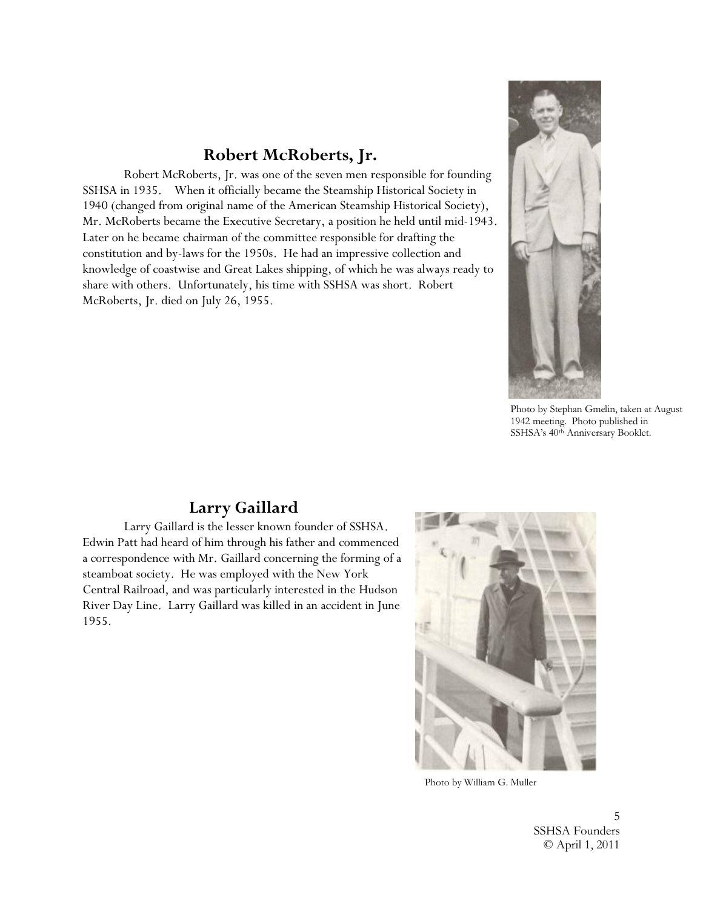# **Robert McRoberts, Jr.**

Robert McRoberts, Jr. was one of the seven men responsible for founding SSHSA in 1935. When it officially became the Steamship Historical Society in 1940 (changed from original name of the American Steamship Historical Society), Mr. McRoberts became the Executive Secretary, a position he held until mid-1943. Later on he became chairman of the committee responsible for drafting the constitution and by-laws for the 1950s. He had an impressive collection and knowledge of coastwise and Great Lakes shipping, of which he was always ready to share with others. Unfortunately, his time with SSHSA was short. Robert McRoberts, Jr. died on July 26, 1955.



Photo by Stephan Gmelin, taken at August 1942 meeting. Photo published in SSHSA's 40th Anniversary Booklet.

# **Larry Gaillard**

Larry Gaillard is the lesser known founder of SSHSA. Edwin Patt had heard of him through his father and commenced a correspondence with Mr. Gaillard concerning the forming of a steamboat society. He was employed with the New York Central Railroad, and was particularly interested in the Hudson River Day Line. Larry Gaillard was killed in an accident in June 1955.



Photo by William G. Muller

5 SSHSA Founders © April 1, 2011